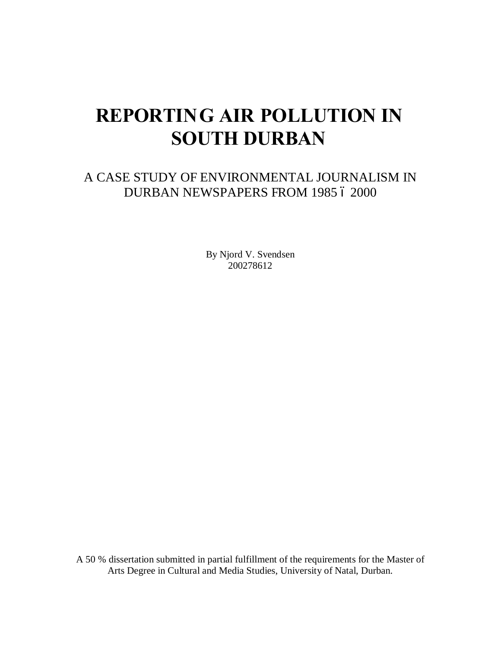# **REPORTING AIR POLLUTION IN SOUTH DURBAN**

### A CASE STUDY OF ENVIRONMENTAL JOURNALISM IN DURBAN NEWSPAPERS FROM 1985 6 2000

By Njord V. Svendsen 200278612

A 50 % dissertation submitted in partial fulfillment of the requirements for the Master of Arts Degree in Cultural and Media Studies, University of Natal, Durban.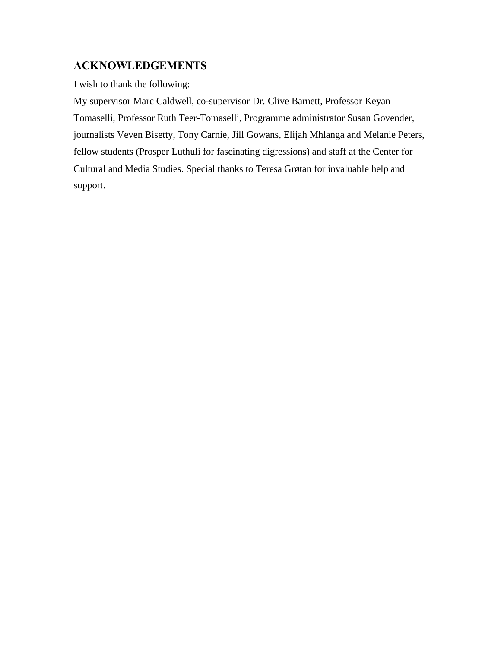#### **ACKNOWLEDGEMENTS**

I wish to thank the following:

My supervisor Marc Caldwell, co-supervisor Dr. Clive Barnett, Professor Keyan Tomaselli, Professor Ruth Teer-Tomaselli, Programme administrator Susan Govender, journalists Veven Bisetty, Tony Carnie, Jill Gowans, Elijah Mhlanga and Melanie Peters, fellow students (Prosper Luthuli for fascinating digressions) and staff at the Center for Cultural and Media Studies. Special thanks to Teresa Grøtan for invaluable help and support.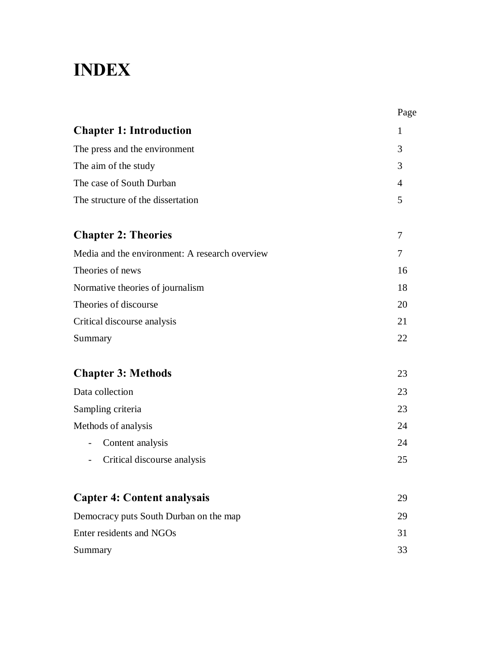## **INDEX**

|                                                | Page           |
|------------------------------------------------|----------------|
| <b>Chapter 1: Introduction</b>                 | 1              |
| The press and the environment                  | 3              |
| The aim of the study                           | 3              |
| The case of South Durban                       | $\overline{4}$ |
| The structure of the dissertation              | 5              |
| <b>Chapter 2: Theories</b>                     | 7              |
| Media and the environment: A research overview | 7              |
| Theories of news                               | 16             |
| Normative theories of journalism               | 18             |
| Theories of discourse                          | 20             |
| Critical discourse analysis                    | 21             |
| Summary                                        | 22             |
| <b>Chapter 3: Methods</b>                      | 23             |
| Data collection                                | 23             |
| Sampling criteria                              | 23             |
| Methods of analysis                            | 24             |
| Content analysis<br>$\overline{\phantom{0}}$   | 24             |
| Critical discourse analysis                    | 25             |
| <b>Capter 4: Content analysais</b>             | 29             |
| Democracy puts South Durban on the map         | 29             |
| Enter residents and NGOs                       | 31             |
| Summary                                        | 33             |
|                                                |                |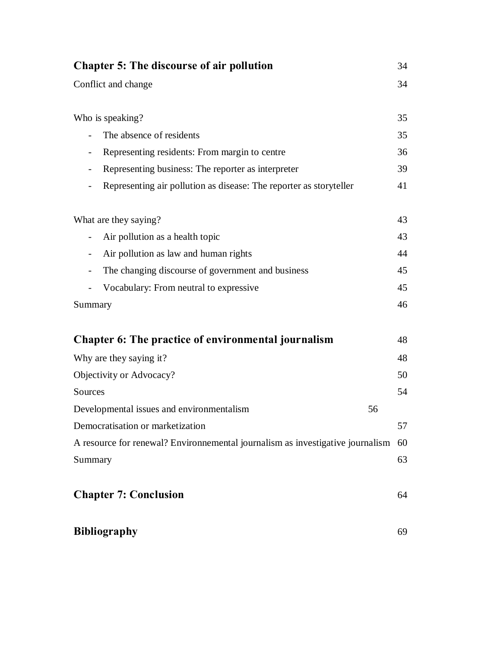| <b>Chapter 5: The discourse of air pollution</b>                               | 34 |
|--------------------------------------------------------------------------------|----|
| Conflict and change                                                            | 34 |
| Who is speaking?                                                               | 35 |
| The absence of residents<br>$\overline{\phantom{a}}$                           | 35 |
| Representing residents: From margin to centre                                  | 36 |
| Representing business: The reporter as interpreter                             | 39 |
| Representing air pollution as disease: The reporter as storyteller             | 41 |
| What are they saying?                                                          | 43 |
| Air pollution as a health topic<br>$\overline{\phantom{a}}$                    | 43 |
| Air pollution as law and human rights<br>$\overline{\phantom{a}}$              | 44 |
| The changing discourse of government and business                              | 45 |
| Vocabulary: From neutral to expressive                                         | 45 |
| Summary                                                                        | 46 |
| Chapter 6: The practice of environmental journalism                            | 48 |
| Why are they saying it?                                                        | 48 |
| Objectivity or Advocacy?                                                       | 50 |
| Sources                                                                        | 54 |
| Developmental issues and environmentalism<br>56                                |    |
| Democratisation or marketization                                               | 57 |
| A resource for renewal? Environnemental journalism as investigative journalism | 60 |
| Summary                                                                        | 63 |
| <b>Chapter 7: Conclusion</b>                                                   | 64 |
| <b>Bibliography</b>                                                            | 69 |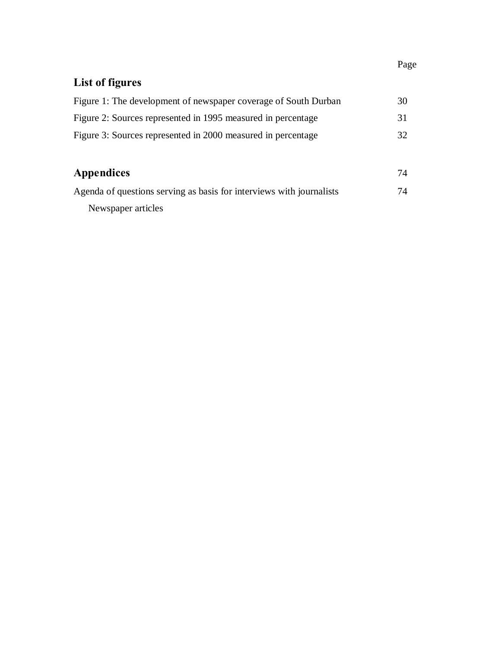### Page

## **List of figures**

| Figure 1: The development of newspaper coverage of South Durban      | 30 |
|----------------------------------------------------------------------|----|
| Figure 2: Sources represented in 1995 measured in percentage         | 31 |
| Figure 3: Sources represented in 2000 measured in percentage         | 32 |
|                                                                      |    |
| <b>Appendices</b>                                                    | 74 |
| Agenda of questions serving as basis for interviews with journalists | 74 |
| Newspaper articles                                                   |    |